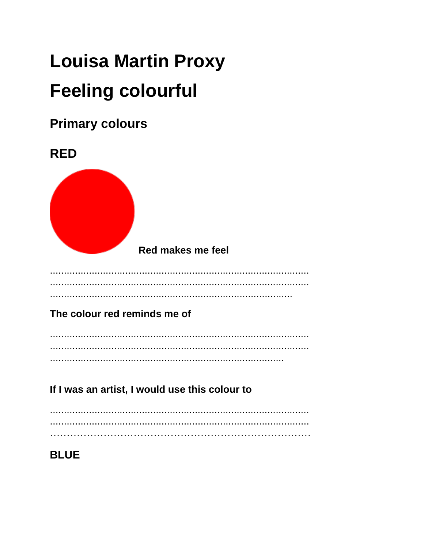# **Louisa Martin Proxy Feeling colourful**

## **Primary colours**



If I was an artist, I would use this colour to

## **BLUE**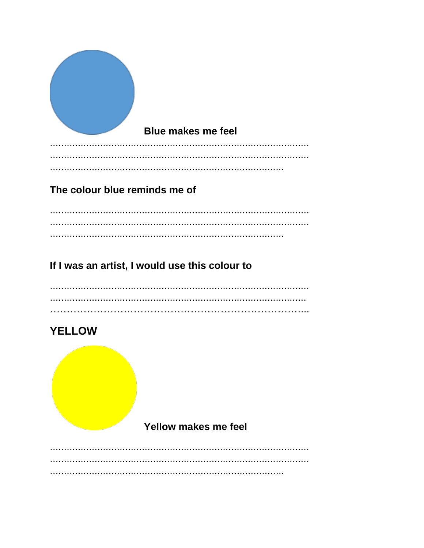| <b>Blue makes me feel</b>                      |
|------------------------------------------------|
| The colour blue reminds me of                  |
| If I was an artist, I would use this colour to |
|                                                |

## **YELLOW**

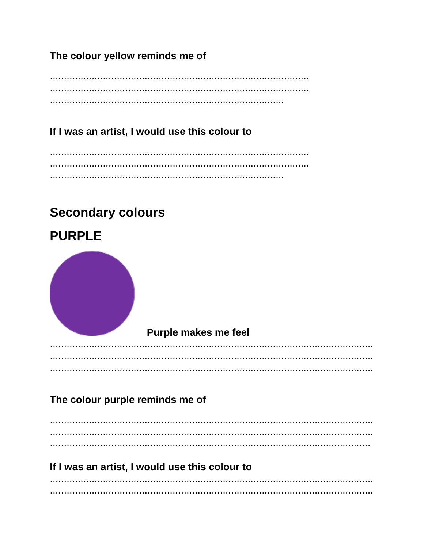The colour yellow reminds me of

If I was an artist, I would use this colour to

# **Secondary colours**



## If I was an artist, I would use this colour to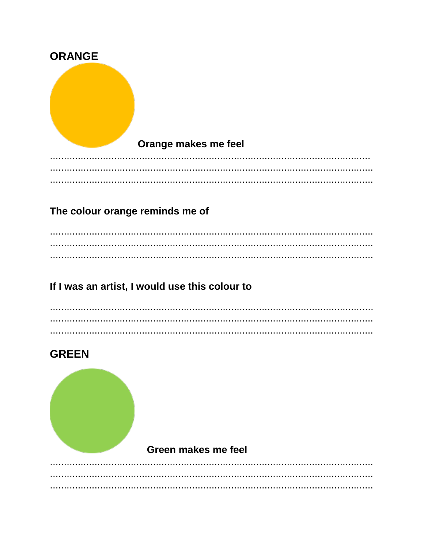| <b>ORANGE</b> |                      |
|---------------|----------------------|
|               |                      |
|               |                      |
|               |                      |
|               |                      |
|               | Orange makes me feel |
|               |                      |
|               |                      |

## The colour orange reminds me of

## If I was an artist, I would use this colour to

## **GREEN**



#### Green makes me feel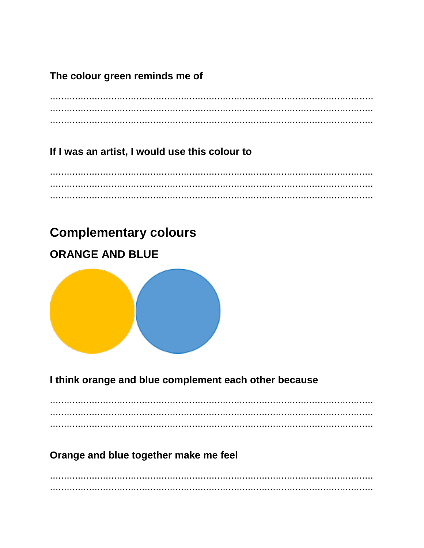## The colour green reminds me of

## If I was an artist, I would use this colour to

## **Complementary colours**

## **ORANGE AND BLUE**



## I think orange and blue complement each other because

## Orange and blue together make me feel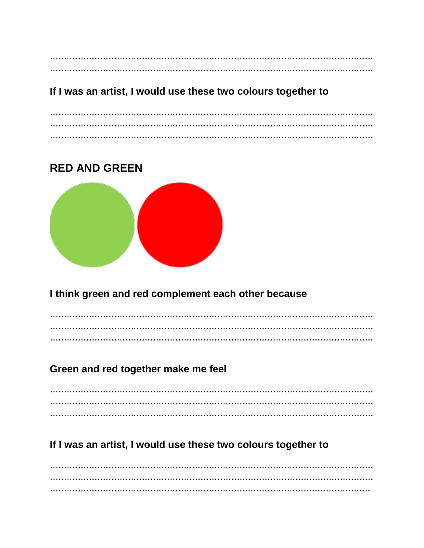## If I was an artist, I would use these two colours together to

## **RED AND GREEN**



## I think green and red complement each other because

## Green and red together make me feel

## If I was an artist, I would use these two colours together to